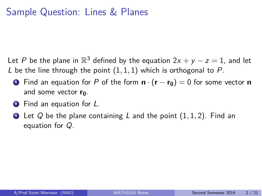## Sample Question: Lines & Planes

Let *P* be the plane in  $\mathbb{R}^3$  defined by the equation  $2x + y - z = 1$ , and let *L* be the line through the point (1*,* 1*,* 1) which is orthogonal to *P*.

- **1** Find an equation for *P* of the form  $\mathbf{n} \cdot (\mathbf{r} \mathbf{r_0}) = 0$  for some vector **n** and some vector **r**<sub>0</sub>.
- <sup>2</sup> Find an equation for *L*.
- <sup>3</sup> Let *Q* be the plane containing *L* and the point (1*,* 1*,* 2). Find an equation for *Q*.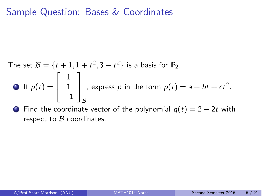### Sample Question: Bases & Coordinates

The set 
$$
B = \{t+1, 1+t^2, 3-t^2\}
$$
 is a basis for  $\mathbb{P}_2$ .  
\n• If  $p(t) = \begin{bmatrix} 1 \\ 1 \\ -1 \end{bmatrix}_B$ , express p in the form  $p(t) = a + bt + ct^2$ .

**2** Find the coordinate vector of the polynomial  $q(t) = 2 - 2t$  with respect to *B* coordinates.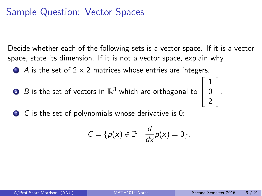# Sample Question: Vector Spaces

Decide whether each of the following sets is a vector space. If it is a vector space, state its dimension. If it is not a vector space, explain why.

 $\bullet$  *A* is the set of 2  $\times$  2 matrices whose entries are integers.

 $2$   $\,$   $\,$   $\,$   $\,$   $\,$  is the set of vectors in  $\mathbb{R}^{3}$  which are orthogonal to  $\overline{\mathcal{L}}$ 

<sup>3</sup> *C* is the set of polynomials whose derivative is 0:

$$
C = \{p(x) \in \mathbb{P} \mid \frac{d}{dx}p(x) = 0\}.
$$

 $\sqrt{ }$ 

1 0 2 T

 $\vert \cdot$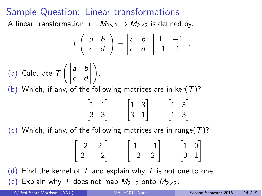### Sample Question: Linear transformations

A linear transformation  $T : M_{2 \times 2} \rightarrow M_{2 \times 2}$  is defined by:

$$
T\left(\begin{bmatrix} a & b \\ c & d \end{bmatrix}\right) = \begin{bmatrix} a & b \\ c & d \end{bmatrix} \begin{bmatrix} 1 & -1 \\ -1 & 1 \end{bmatrix}.
$$
  
(a) Calculate  $T\left(\begin{bmatrix} a & b \\ c & d \end{bmatrix}\right).$   
(b) Which, if any, of the following matrices are in ker(T)?

$$
\begin{bmatrix} 1 & 1 \\ 3 & 3 \end{bmatrix} \qquad \begin{bmatrix} 1 & 3 \\ 3 & 1 \end{bmatrix} \qquad \begin{bmatrix} 1 & 3 \\ 1 & 3 \end{bmatrix}
$$

(c) Which, if any, of the following matrices are in range(*T*)?

$$
\begin{bmatrix} -2 & 2 \\ 2 & -2 \end{bmatrix} \qquad \begin{bmatrix} 1 & -1 \\ -2 & 2 \end{bmatrix} \qquad \begin{bmatrix} 1 & 0 \\ 0 & 1 \end{bmatrix}
$$

(d) Find the kernel of  $T$  and explain why  $T$  is not one to one.  $(e)$  Explain why *T* does not map  $M_{2\times 2}$  onto  $M_{2\times 2}$ .